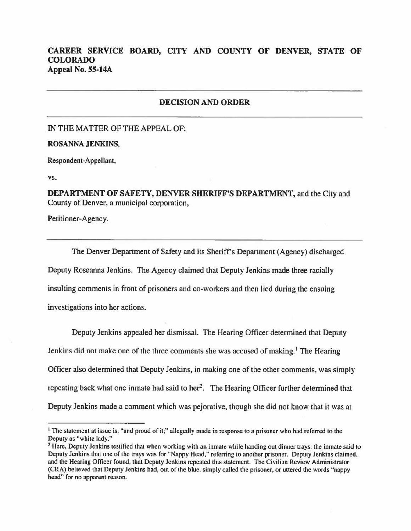## **CAREER SERVICE BOARD, CITY AND COUNTY OF DENVER, STATE OF COLORADO Appeal No. 55-14A**

## **DECISION AND ORDER**

IN THE MATTER OF THE APPEAL OF:

**ROSANNA JENKINS,** 

Respondent-Appellant,

**vs.** 

**DEPARTMENT OF SAFETY, DENVER SHERIFF'S DEPARTMENT,** and the City and County of Denver, a municipal corporation,

Petitioner-Agency.

The Denver Department of Safety and its Sheriff's Department (Agency) discharged Deputy Roseanna Jenkins. The Agency claimed that Deputy Jenkins made three racially insulting comments in front of prisoners and co-workers and then lied during the ensuing investigations into her actions.

Deputy Jenkins appealed her dismissal. The Hearing Officer determined that Deputy Jenkins did not make one of the three comments she was accused of making.<sup>1</sup> The Hearing Officer also determined that Deputy Jenkins, in making one of the other comments, was simply repeating back what one inmate had said to her<sup>2</sup>. The Hearing Officer further determined that Deputy Jenkins made a comment which was pejorative, though she did not know that it was at

<sup>&</sup>lt;sup>1</sup> The statement at issue is, "and proud of it;" allegedly made in response to a prisoner who had referred to the Deputy as "white lady."

<sup>&</sup>lt;sup>2</sup> Here, Deputy Jenkins testified that when working with an inmate while handing out dinner trays, the inmate said to Deputy Jenkins that one of the trays was for "Nappy Head," referring to another prisoner. Deputy Jenkins claimed, and the Hearing Officer found, that Deputy Jenkins repeated this statement. The Civilian Review Administrator (CRA) believed that Deputy Jenkins had, out of the blue, simply called the prisoner, or uttered the words "nappy head" for no apparent reason.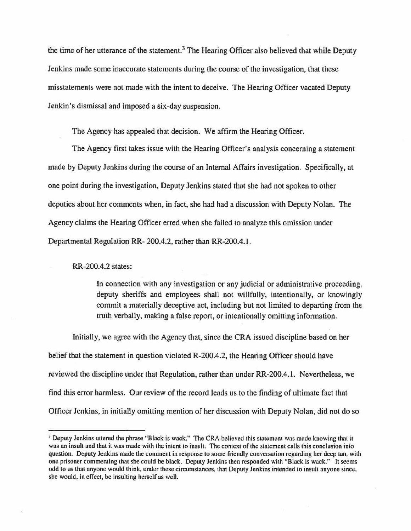the time of her utterance of the statement.<sup>3</sup> The Hearing Officer also believed that while Deputy Jenkins made some inaccurate statements during the course of the investigation, that these misstatements were not made with the intent to deceive. The Hearing Officer vacated Deputy Jenkin's dismissal and imposed a six-day suspension.

The Agency has appealed that decision. We affirm the Hearing Officer.

The Agency first takes issue with the Hearing Officer's analysis concerning a statement made by Deputy Jenkins during the course of an Internal Affairs investigation. Specifically, at one point during the investigation, Deputy Jenkins stated that she had not spoken to other deputies about her comments when, in fact, she had had a discussion with Deputy Nolan. The Agency claims the Hearing Officer erred when she failed to analyze this omission under Departmental Regulation RR- 200.4.2, rather than RR-200.4.1.

RR-200.4.2 states:

In connection with any investigation or any judicial or administrative proceeding, deputy sheriffs and employees shall not willfully, intentionally, or knowingly commit a materially deceptive act, including but not limited to departing from the truth verbally, making a false report, or intentionally omitting information.

Initially, we agree with the Agency that, since the CRA issued discipline based on her belief that the statement in question violated R-200.4.2, the Hearing Officer should have reviewed the discipline under that Regulation, rather than under RR-200.4.1. Nevertheless, we find this error harmless. Our review of the record leads us to the finding of ultimate fact that Officer Jenkins, in initially omitting mention of her discussion with Deputy Nolan, did not do so

<sup>&</sup>lt;sup>3</sup> Deputy Jenkins uttered the phrase "Black is wack." The CRA believed this statement was made knowing that it was an insult and that it was made with the intent to insult. The context of the statement calls this conclusion into question. Deputy Jenkins made the comment in response to some friendly conversation regarding her deep tan, with one prisoner commenting that she could be black. Deputy Jenkins then responded with "Black is wack." It seems odd to us that anyone would think, under these circumstances, that Deputy Jenkins intended to insult anyone since, she would, in effect, be insulting herself as well.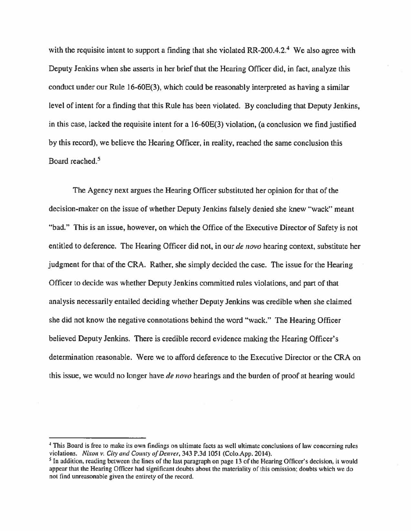with the requisite intent to support a finding that she violated RR-200.4.2.<sup>4</sup> We also agree with Deputy Jenkins when she asserts in her brief that the Hearing Officer did, in fact, analyze this conduct under our Rule 16-60E(3), which could be reasonably interpreted as having a similar level of intent for a finding that this Rule has been violated. By concluding that Deputy Jenkins, in this case, lacked the requisite intent for a 16-60E(3) violation, (a conclusion we find justified by this record), we believe the Hearing Officer, in reality, reached the same conclusion this Board reached.<sup>5</sup>

The Agency next argues the Hearing Officer substituted her opinion for that of the decision-maker on the issue of whether Deputy Jenkins falsely denied she knew "wack" meant "bad." This is an issue, however, on which the Office of the Executive Director of Safety is not entitled to deference. The Hearing Officer did not, in our *de novo* hearing context, substitute her judgment for that of the CRA. Rather, she simply decided the case. The issue for the Hearing Officer to decide was whether Deputy Jenkins committed rules violations, and part of that analysis necessarily entailed deciding whether Deputy Jenkins was credible when she claimed she did not know the negative connotations behind the word "wack." The Hearing Officer believed Deputy Jenkins. There is credible record evidence making the Hearing Officer's determination reasonable. Were we to afford deference to the Executive Director or the CRA on this issue, we would no longer have *de novo* hearings and the burden of proof at hearing would

<sup>~</sup>This Board is free to make its own findings on ultimate facts as well ultimate conclusions of law concerning rules violations. *Nixon v. City and County of Denver,* 343 P.3d 1051 (Colo.App. 2014).

<sup>&</sup>lt;sup>5</sup> In addition, reading between the lines of the last paragraph on page 13 of the Hearing Officer's decision, it would appear that the Hearing Officer had significant doubts about the materiality of this omission; doubts which we do not find unreasonable given the entirety of the record.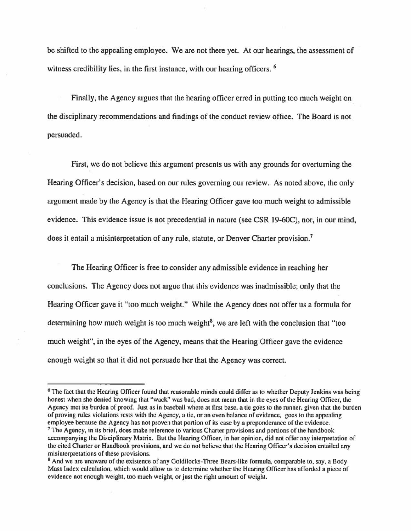be shifted to the appealing employee. We are not there yet. At our hearings, the assessment of witness credibility lies, in the first instance, with our hearing officers. <sup>6</sup>

Finally, the Agency argues that the hearing officer erred in putting too much weight on the disciplinary recommendations and findings of the conduct review office. The Board is not persuaded.

First, we do not believe this argument presents us with any grounds for overturning the Hearing Officer's decision, based on our rules governing our review. As noted above, the only argument made by the Agency is that the Hearing Officer gave too much weight to admissible evidence. This evidence issue is not precedential in nature (see CSR 19-60C), nor, in our mind, does it entail a misinterpretation of any rule, statute, or Denver Charter provision.<sup>7</sup>

The Hearing Officer is free to consider any admissible evidence in reaching her conclusions. The Agency does not argue that this evidence was inadmissible; only that the Hearing Officer gave it "too much weight." While the Agency does not offer us a formula for determining how much weight is too much weight<sup>8</sup>, we are left with the conclusion that "too much weight", in the eyes of the Agency, means that the Hearing Officer gave the evidence enough weight so that it did not persuade her that the Agency was correct.

<sup>&</sup>lt;sup>6</sup> The fact that the Hearing Officer found that reasonable minds could differ as to whether Deputy Jenkins was being honest when she denied knowing that "wack" was bad, does not mean that in the eyes of the Hearing Officer, the Agency met its burden of proof. Just as in baseball where at first base, a tic goes to the runner, given that the burden of proving rules violations rests with the Agency, a tie, or an even balance of evidence, goes to the appealing employee because the Agency has not proven that portion of its case by a preponderance of the evidence.

<sup>&</sup>lt;sup>7</sup> The Agency, in its brief, does make reference to various Charter provisions and portions of the handbook accompanying the Disciplinary Matrix. But the Hearing Officer, in her opinion, did not offer any interpretation of the cited Charter or Handbook provisions, and we do not believe that the Hearing Officer's decision entailed any misinterpretations of these provisions.

<sup>&</sup>lt;sup>8</sup> And we are unaware of the existence of any Goldilocks-Three Bears-like formula, comparable to, say, a Body Mass Index calculation, which would allow us to determine whether the Hearing Officer has afforded a piece of evidence not enough weight, too much weight, or just the right amount of weight.